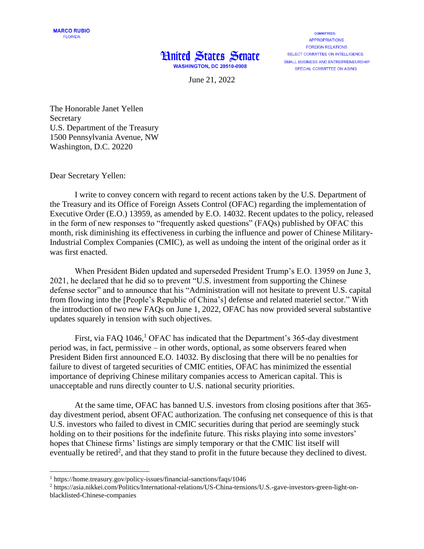## **Hnited States Senate WASHINGTON, DC 20510-0908**

**COMMITTEES: APPROPRIATIONS FOREIGN RELATIONS** SELECT COMMITTEE ON INTELLIGENCE SMALL BUSINESS AND ENTREPRENEURSHIP SPECIAL COMMITTEE ON AGING

June 21, 2022

The Honorable Janet Yellen Secretary U.S. Department of the Treasury 1500 Pennsylvania Avenue, NW Washington, D.C. 20220

Dear Secretary Yellen:

 $\overline{\phantom{a}}$ 

I write to convey concern with regard to recent actions taken by the U.S. Department of the Treasury and its Office of Foreign Assets Control (OFAC) regarding the implementation of Executive Order (E.O.) 13959, as amended by E.O. 14032. Recent updates to the policy, released in the form of new responses to "frequently asked questions" (FAQs) published by OFAC this month, risk diminishing its effectiveness in curbing the influence and power of Chinese Military-Industrial Complex Companies (CMIC), as well as undoing the intent of the original order as it was first enacted.

When President Biden updated and superseded President Trump's E.O. 13959 on June 3, 2021, he declared that he did so to prevent "U.S. investment from supporting the Chinese defense sector" and to announce that his "Administration will not hesitate to prevent U.S. capital from flowing into the [People's Republic of China's] defense and related materiel sector." With the introduction of two new FAQs on June 1, 2022, OFAC has now provided several substantive updates squarely in tension with such objectives.

First, via FAQ  $1046$ ,  $^{1}$  OFAC has indicated that the Department's 365-day divestment period was, in fact, permissive – in other words, optional, as some observers feared when President Biden first announced E.O. 14032. By disclosing that there will be no penalties for failure to divest of targeted securities of CMIC entities, OFAC has minimized the essential importance of depriving Chinese military companies access to American capital. This is unacceptable and runs directly counter to U.S. national security priorities.

At the same time, OFAC has banned U.S. investors from closing positions after that 365 day divestment period, absent OFAC authorization. The confusing net consequence of this is that U.S. investors who failed to divest in CMIC securities during that period are seemingly stuck holding on to their positions for the indefinite future. This risks playing into some investors' hopes that Chinese firms' listings are simply temporary or that the CMIC list itself will eventually be retired<sup>2</sup>, and that they stand to profit in the future because they declined to divest.

<sup>1</sup> https://home.treasury.gov/policy-issues/financial-sanctions/faqs/1046

<sup>2</sup> https://asia.nikkei.com/Politics/International-relations/US-China-tensions/U.S.-gave-investors-green-light-onblacklisted-Chinese-companies